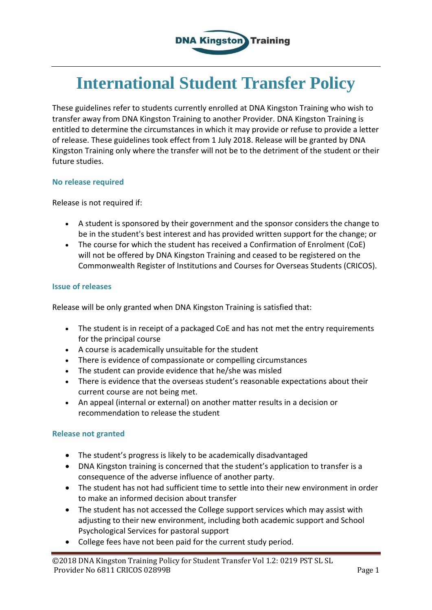

# **International Student Transfer Policy**

These guidelines refer to students currently enrolled at DNA Kingston Training who wish to transfer away from DNA Kingston Training to another Provider. DNA Kingston Training is entitled to determine the circumstances in which it may provide or refuse to provide a letter of release. These guidelines took effect from 1 July 2018. Release will be granted by DNA Kingston Training only where the transfer will not be to the detriment of the student or their future studies.

#### **No release required**

Release is not required if:

- A student is sponsored by their government and the sponsor considers the change to be in the student's best interest and has provided written support for the change; or
- The course for which the student has received a Confirmation of Enrolment (CoE) will not be offered by DNA Kingston Training and ceased to be registered on the Commonwealth Register of Institutions and Courses for Overseas Students (CRICOS).

#### **Issue of releases**

Release will be only granted when DNA Kingston Training is satisfied that:

- The student is in receipt of a packaged CoE and has not met the entry requirements for the principal course
- A course is academically unsuitable for the student
- There is evidence of compassionate or compelling circumstances
- The student can provide evidence that he/she was misled
- There is evidence that the overseas student's reasonable expectations about their current course are not being met.
- An appeal (internal or external) on another matter results in a decision or recommendation to release the student

### **Release not granted**

- The student's progress is likely to be academically disadvantaged
- DNA Kingston training is concerned that the student's application to transfer is a consequence of the adverse influence of another party.
- The student has not had sufficient time to settle into their new environment in order to make an informed decision about transfer
- The student has not accessed the College support services which may assist with adjusting to their new environment, including both academic support and School Psychological Services for pastoral support
- College fees have not been paid for the current study period.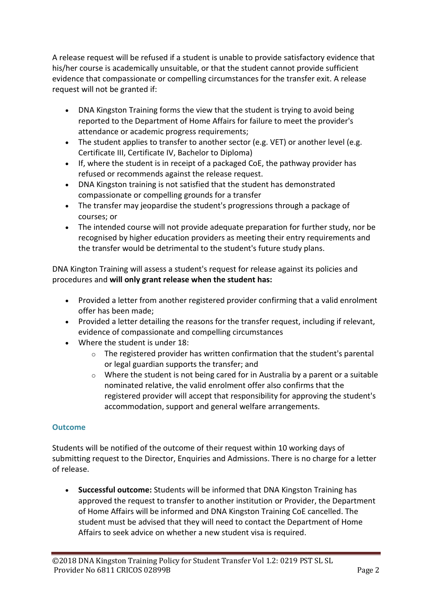A release request will be refused if a student is unable to provide satisfactory evidence that his/her course is academically unsuitable, or that the student cannot provide sufficient evidence that compassionate or compelling circumstances for the transfer exit. A release request will not be granted if:

- DNA Kingston Training forms the view that the student is trying to avoid being reported to the Department of Home Affairs for failure to meet the provider's attendance or academic progress requirements;
- The student applies to transfer to another sector (e.g. VET) or another level (e.g. Certificate III, Certificate IV, Bachelor to Diploma)
- If, where the student is in receipt of a packaged CoE, the pathway provider has refused or recommends against the release request.
- DNA Kingston training is not satisfied that the student has demonstrated compassionate or compelling grounds for a transfer
- The transfer may jeopardise the student's progressions through a package of courses; or
- The intended course will not provide adequate preparation for further study, nor be recognised by higher education providers as meeting their entry requirements and the transfer would be detrimental to the student's future study plans.

DNA Kington Training will assess a student's request for release against its policies and procedures and **will only grant release when the student has:**

- Provided a letter from another registered provider confirming that a valid enrolment offer has been made;
- Provided a letter detailing the reasons for the transfer request, including if relevant, evidence of compassionate and compelling circumstances
- Where the student is under 18:
	- $\circ$  The registered provider has written confirmation that the student's parental or legal guardian supports the transfer; and
	- o Where the student is not being cared for in Australia by a parent or a suitable nominated relative, the valid enrolment offer also confirms that the registered provider will accept that responsibility for approving the student's accommodation, support and general welfare arrangements.

## **Outcome**

Students will be notified of the outcome of their request within 10 working days of submitting request to the Director, Enquiries and Admissions. There is no charge for a letter of release.

 **Successful outcome:** Students will be informed that DNA Kingston Training has approved the request to transfer to another institution or Provider, the Department of Home Affairs will be informed and DNA Kingston Training CoE cancelled. The student must be advised that they will need to contact the Department of Home Affairs to seek advice on whether a new student visa is required.